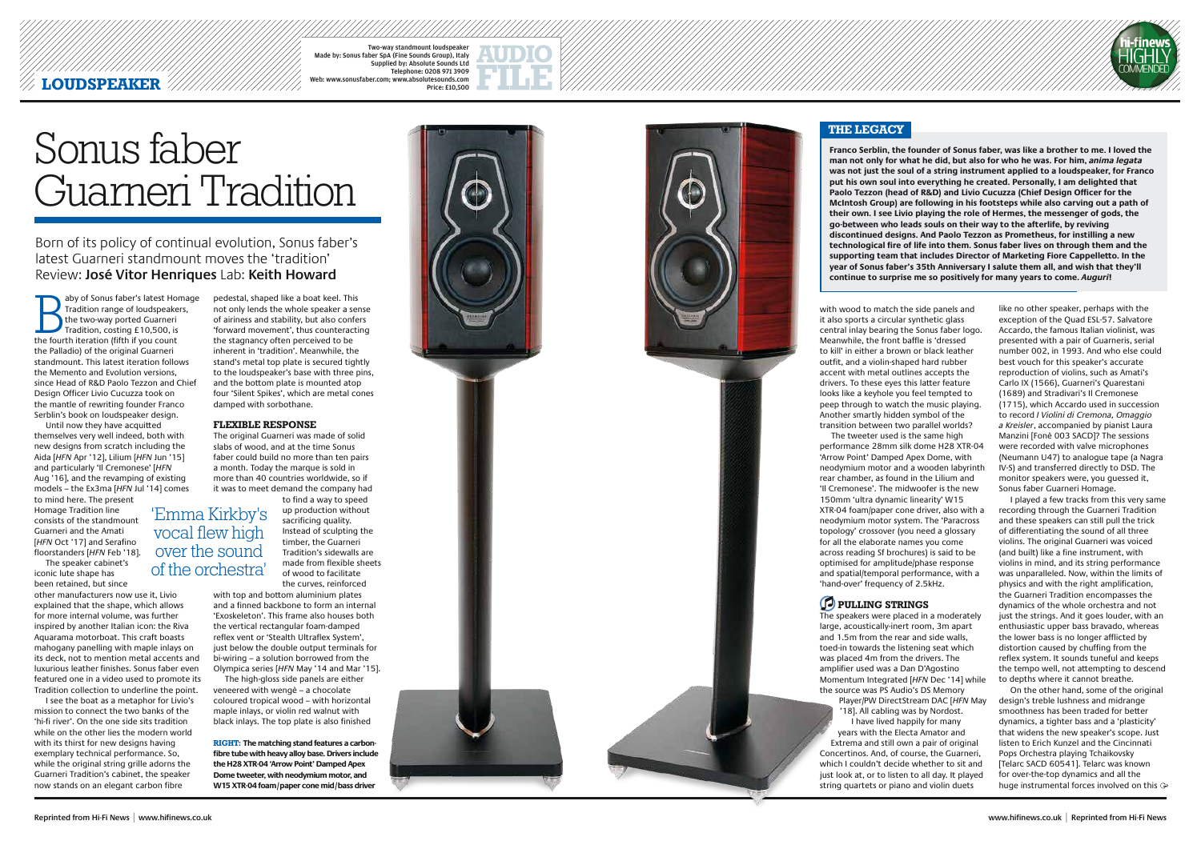# **LOUDSPEAKER**

**Reprinted from Hi-Fi News**

Two-way standmount loudspeaker Made by: Sonus faber SpA (Fine Sounds Group), Italy Supplied by: Absolute Sounds Ltd Telephone: 0208 971 3909<br>: www.absolutesounds.com ww.sonusfaber.com: www.ab Price: £10,500



## **THE LEGACY**

aby of Sonus faber's latest Hours<br>Tradition range of loudspeake<br>the two-way ported Guarneri<br>Tradition, costing £10,500, is<br>the fourth iteration (fifth if you count aby of Sonus faber's latest Homage Tradition range of loudspeakers, the two-way ported Guarneri Tradition, costing £10,500, is the Palladio) of the original Guarneri standmount. This latest iteration follows the Memento and Evolution versions, since Head of R&D Paolo Tezzon and Chief Design Officer Livio Cucuzza took on the mantle of rewriting founder Franco Serblin's book on loudspeaker design.

Until now they have acquitted themselves very well indeed, both with new designs from scratch including the Aida [*HFN* Apr '12], Lilium [*HFN* Jun '15] and particularly 'Il Cremonese' [*HFN* Aug '16], and the revamping of existing models – the Ex3ma [*HFN* Jul '14] comes

to mind here. The present Homage Tradition line consists of the standmount Guarneri and the Amati [*HFN* Oct '17] and Serafino floorstanders [*HFN* Feb '18].

The speaker cabinet's iconic lute shape has been retained, but since

other manufacturers now use it, Livio explained that the shape, which allows for more internal volume, was further inspired by another Italian icon: the Riva Aquarama motorboat. This craft boasts mahogany panelling with maple inlays on its deck, not to mention metal accents and luxurious leather finishes. Sonus faber even featured one in a video used to promote its Tradition collection to underline the point.

I see the boat as a metaphor for Livio's mission to connect the two banks of the 'hi-fi river'. On the one side sits tradition while on the other lies the modern world with its thirst for new designs having exemplary technical performance. So, while the original string grille adorns the Guarneri Tradition's cabinet, the speaker now stands on an elegant carbon fibre

**RIGHT: The matching stand features a carbonfibre tube with heavy alloy base. Drivers include the H28 XTR-04 'Arrow Point' Damped Apex Dome tweeter, with neodymium motor, and W15 XTR-04 foam/paper cone mid/bass driver**





Born of its policy of continual evolution, Sonus faber's latest Guarneri standmount moves the 'tradition' Review: **José Vitor Henriques** Lab: **Keith Howard**

> pedestal, shaped like a boat keel. This not only lends the whole speaker a sense of airiness and stability, but also confers 'forward movement', thus counteracting the stagnancy often perceived to be inherent in 'tradition'. Meanwhile, the stand's metal top plate is secured tightly to the loudspeaker's base with three pins, and the bottom plate is mounted atop four 'Silent Spikes', which are metal cones damped with sorbothane.

### **FLEXIBLE RESPONSE**

The original Guarneri was made of solid slabs of wood, and at the time Sonus faber could build no more than ten pairs a month. Today the marque is sold in more than 40 countries worldwide, so if it was to meet demand the company had

with top and bottom aluminium plates and a finned backbone to form an internal 'Exoskeleton'. This frame also houses both the vertical rectangular foam-damped reflex vent or 'Stealth Ultraflex System', just below the double output terminals for bi-wiring – a solution borrowed from the Olympica series [*HFN* May '14 and Mar '15].

The high-gloss side panels are either veneered with wengè – a chocolate coloured tropical wood – with horizontal maple inlays, or violin red walnut with black inlays. The top plate is also finished

On the other hand, some of the original design's treble lushness and midrange smoothness has been traded for better dynamics, a tighter bass and a 'plasticity' that widens the new speaker's scope. Just listen to Erich Kunzel and the Cincinnati Pops Orchestra playing Tchaikovsky [Telarc SACD 60541]. Telarc was known for over-the-top dynamics and all the huge instrumental forces involved on this  $\ominus$ 

**Franco Serblin, the founder of Sonus faber, was like a brother to me. I loved the man not only for what he did, but also for who he was. For him,** *anima legata* **was not just the soul of a string instrument applied to a loudspeaker, for Franco put his own soul into everything he created. Personally, I am delighted that Paolo Tezzon (head of R&D) and Livio Cucuzza (Chief Design Officer for the McIntosh Group) are following in his footsteps while also carving out a path of their own. I see Livio playing the role of Hermes, the messenger of gods, the go-between who leads souls on their way to the afterlife, by reviving discontinued designs. And Paolo Tezzon as Prometheus, for instilling a new technological fire of life into them. Sonus faber lives on through them and the supporting team that includes Director of Marketing Fiore Cappelletto. In the year of Sonus faber's 35th Anniversary I salute them all, and wish that they'll continue to surprise me so positively for many years to come.** *Auguri***!** 

# Sonus faber Guarneri Tradition

with wood to match the side panels and it also sports a circular synthetic glass central inlay bearing the Sonus faber logo. Meanwhile, the front baffle is 'dressed to kill' in either a brown or black leather outfit, and a violin-shaped hard rubber accent with metal outlines accepts the drivers. To these eyes this latter feature looks like a keyhole you feel tempted to peep through to watch the music playing. Another smartly hidden symbol of the transition between two parallel worlds? The tweeter used is the same high performance 28mm silk dome H28 XTR-04 'Arrow Point' Damped Apex Dome, with neodymium motor and a wooden labyrinth rear chamber, as found in the Lilium and 'Il Cremonese'. The midwoofer is the new 150mm 'ultra dynamic linearity' W15 XTR-04 foam/paper cone driver, also with a neodymium motor system. The 'Paracross topology' crossover (you need a glossary for all the elaborate names you come across reading Sf brochures) is said to be optimised for amplitude/phase response and spatial/temporal performance, with a

to find a way to speed up production without sacrificing quality. Instead of sculpting the timber, the Guarneri Tradition's sidewalls are made from flexible sheets of wood to facilitate the curves, reinforced 'Emma Kirkby's vocal flew high over the sound of the orchestra'

'hand-over' frequency of 2.5kHz.

# **PULLING STRINGS**

The speakers were placed in a moderately large, acoustically-inert room, 3m apart and 1.5m from the rear and side walls, toed-in towards the listening seat which was placed 4m from the drivers. The amplifier used was a Dan D'Agostino Momentum Integrated [*HFN* Dec '14] while the source was PS Audio's DS Memory Player/PW DirectStream DAC [*HFN* May '18]. All cabling was by Nordost. I have lived happily for many years with the Electa Amator and Extrema and still own a pair of original Concertinos. And, of course, the Guarneri, which I couldn't decide whether to sit and just look at, or to listen to all day. It played string quartets or piano and violin duets

like no other speaker, perhaps with the exception of the Quad ESL-57. Salvatore Accardo, the famous Italian violinist, was presented with a pair of Guarneris, serial number 002, in 1993. And who else could best vouch for this speaker's accurate reproduction of violins, such as Amati's Carlo IX (1566), Guarneri's Quarestani (1689) and Stradivari's Il Cremonese (1715), which Accardo used in succession to record *I Violini di Cremona, Omaggio a Kreisler*, accompanied by pianist Laura Manzini [Fonè 003 SACD]? The sessions were recorded with valve microphones (Neumann U47) to analogue tape (a Nagra IV-S) and transferred directly to DSD. The monitor speakers were, you guessed it, Sonus faber Guarneri Homage.

I played a few tracks from this very same recording through the Guarneri Tradition and these speakers can still pull the trick of differentiating the sound of all three violins. The original Guarneri was voiced (and built) like a fine instrument, with violins in mind, and its string performance was unparalleled. Now, within the limits of physics and with the right amplification, the Guarneri Tradition encompasses the dynamics of the whole orchestra and not just the strings. And it goes louder, with an enthusiastic upper bass bravado, whereas the lower bass is no longer afflicted by distortion caused by chuffing from the reflex system. It sounds tuneful and keeps the tempo well, not attempting to descend to depths where it cannot breathe.